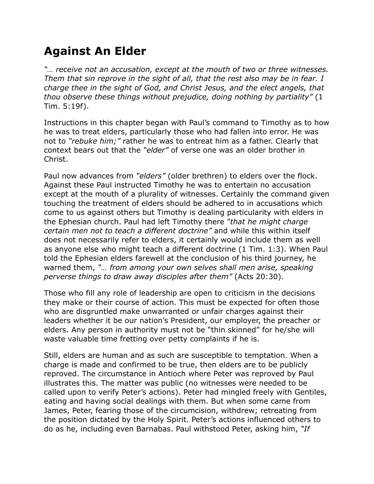## **Against An Elder**

*"… receive not an accusation, except at the mouth of two or three witnesses. Them that sin reprove in the sight of all, that the rest also may be in fear. I charge thee in the sight of God, and Christ Jesus, and the elect angels, that thou observe these things without prejudice, doing nothing by partiality"* (1 Tim. 5:19f).

Instructions in this chapter began with Paul's command to Timothy as to how he was to treat elders, particularly those who had fallen into error. He was not to *"rebuke him;"* rather he was to entreat him as a father. Clearly that context bears out that the *"elder"* of verse one was an older brother in Christ.

Paul now advances from *"elders"* (older brethren) to elders over the flock. Against these Paul instructed Timothy he was to entertain no accusation except at the mouth of a plurality of witnesses. Certainly the command given touching the treatment of elders should be adhered to in accusations which come to us against others but Timothy is dealing particularity with elders in the Ephesian church. Paul had left Timothy there *"that he might charge certain men not to teach a different doctrine"* and while this within itself does not necessarily refer to elders, it certainly would include them as well as anyone else who might teach a different doctrine (1 Tim. 1:3). When Paul told the Ephesian elders farewell at the conclusion of his third journey, he warned them, *"… from among your own selves shall men arise, speaking perverse things to draw away disciples after them"* (Acts 20:30).

Those who fill any role of leadership are open to criticism in the decisions they make or their course of action. This must be expected for often those who are disgruntled make unwarranted or unfair charges against their leaders whether it be our nation's President, our employer, the preacher or elders. Any person in authority must not be "thin skinned" for he/she will waste valuable time fretting over petty complaints if he is.

Still, elders are human and as such are susceptible to temptation. When a charge is made and confirmed to be true, then elders are to be publicly reproved. The circumstance in Antioch where Peter was reproved by Paul illustrates this. The matter was public (no witnesses were needed to be called upon to verify Peter's actions). Peter had mingled freely with Gentiles, eating and having social dealings with them. But when some came from James, Peter, fearing those of the circumcision, withdrew; retreating from the position dictated by the Holy Spirit. Peter's actions influenced others to do as he, including even Barnabas. Paul withstood Peter, asking him, *"If*